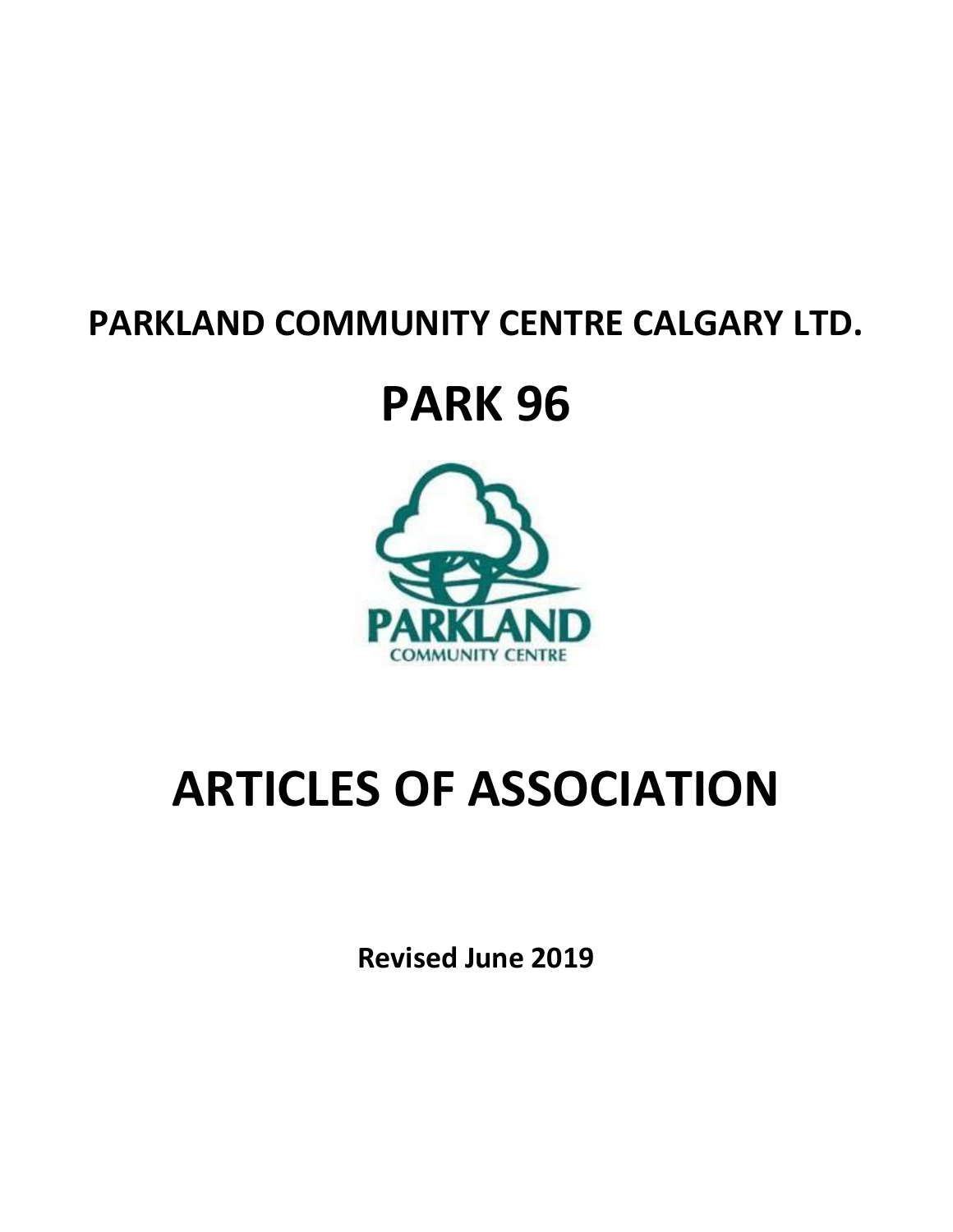### **PARKLAND COMMUNITY CENTRE CALGARY LTD.**

## **PARK 96**



# **ARTICLES OF ASSOCIATION**

**Revised June 2019**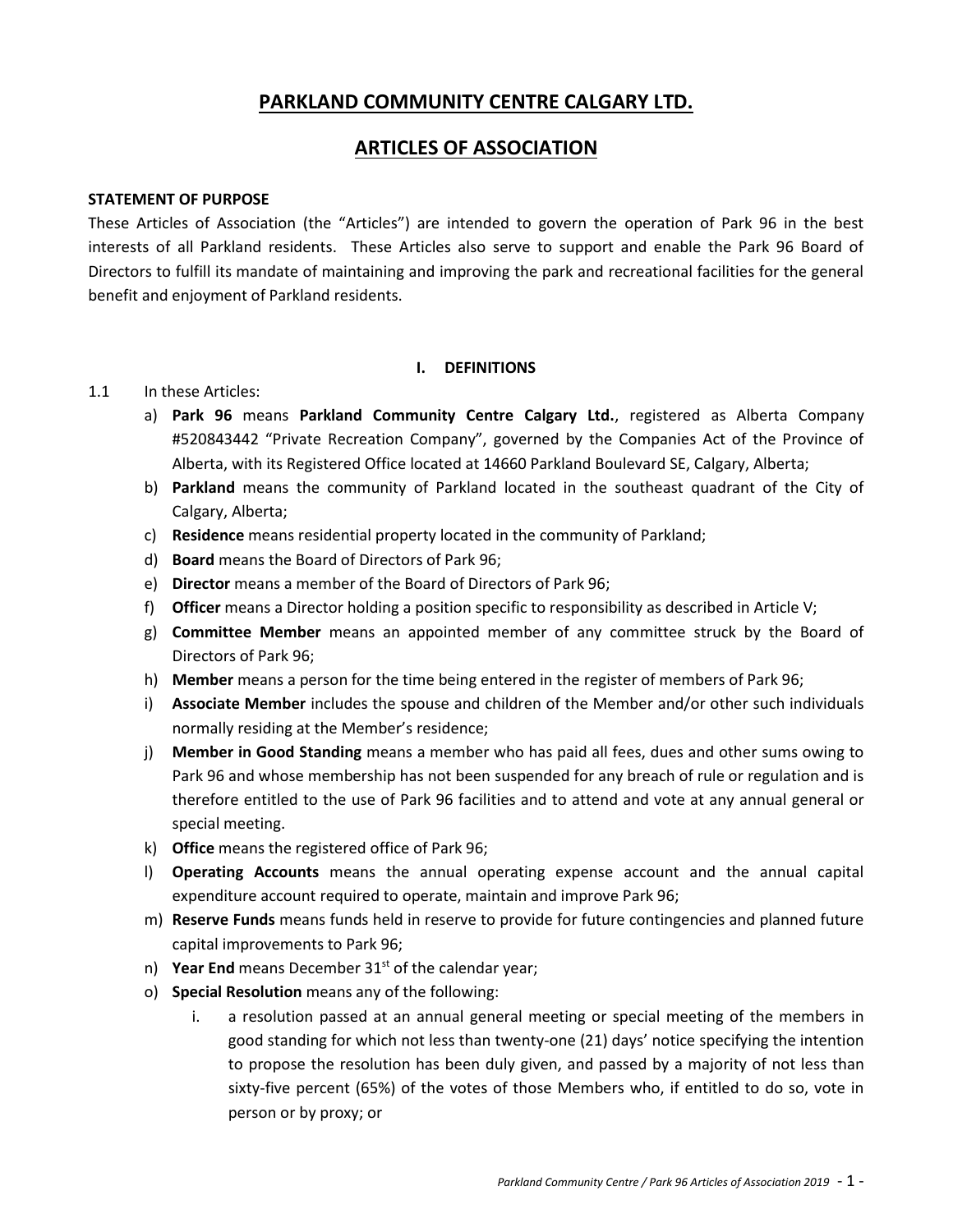#### **PARKLAND COMMUNITY CENTRE CALGARY LTD.**

#### **ARTICLES OF ASSOCIATION**

#### **STATEMENT OF PURPOSE**

These Articles of Association (the "Articles") are intended to govern the operation of Park 96 in the best interests of all Parkland residents. These Articles also serve to support and enable the Park 96 Board of Directors to fulfill its mandate of maintaining and improving the park and recreational facilities for the general benefit and enjoyment of Parkland residents.

#### **I. DEFINITIONS**

#### 1.1 In these Articles:

- a) **Park 96** means **Parkland Community Centre Calgary Ltd.**, registered as Alberta Company #520843442 "Private Recreation Company", governed by the Companies Act of the Province of Alberta, with its Registered Office located at 14660 Parkland Boulevard SE, Calgary, Alberta;
- b) **Parkland** means the community of Parkland located in the southeast quadrant of the City of Calgary, Alberta;
- c) **Residence** means residential property located in the community of Parkland;
- d) **Board** means the Board of Directors of Park 96;
- e) **Director** means a member of the Board of Directors of Park 96;
- f) **Officer** means a Director holding a position specific to responsibility as described in Article V;
- g) **Committee Member** means an appointed member of any committee struck by the Board of Directors of Park 96;
- h) **Member** means a person for the time being entered in the register of members of Park 96;
- i) **Associate Member** includes the spouse and children of the Member and/or other such individuals normally residing at the Member's residence;
- j) **Member in Good Standing** means a member who has paid all fees, dues and other sums owing to Park 96 and whose membership has not been suspended for any breach of rule or regulation and is therefore entitled to the use of Park 96 facilities and to attend and vote at any annual general or special meeting.
- k) **Office** means the registered office of Park 96;
- l) **Operating Accounts** means the annual operating expense account and the annual capital expenditure account required to operate, maintain and improve Park 96;
- m) **Reserve Funds** means funds held in reserve to provide for future contingencies and planned future capital improvements to Park 96;
- n) Year End means December 31<sup>st</sup> of the calendar year;
- o) **Special Resolution** means any of the following:
	- i. a resolution passed at an annual general meeting or special meeting of the members in good standing for which not less than twenty-one (21) days' notice specifying the intention to propose the resolution has been duly given, and passed by a majority of not less than sixty-five percent (65%) of the votes of those Members who, if entitled to do so, vote in person or by proxy; or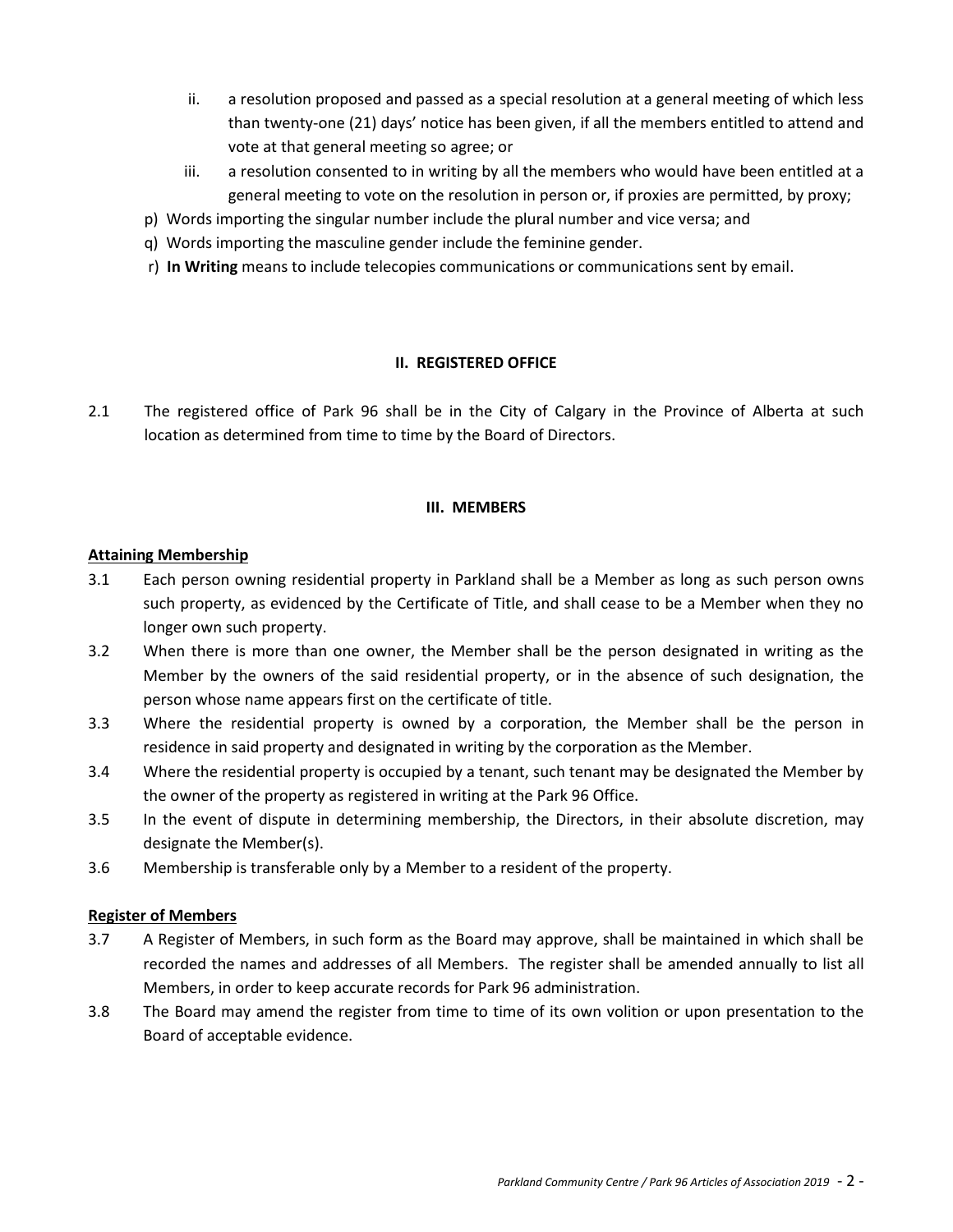- ii. a resolution proposed and passed as a special resolution at a general meeting of which less than twenty-one (21) days' notice has been given, if all the members entitled to attend and vote at that general meeting so agree; or
- iii. a resolution consented to in writing by all the members who would have been entitled at a general meeting to vote on the resolution in person or, if proxies are permitted, by proxy;
- p) Words importing the singular number include the plural number and vice versa; and
- q) Words importing the masculine gender include the feminine gender.
- r) **In Writing** means to include telecopies communications or communications sent by email.

#### **II. REGISTERED OFFICE**

2.1 The registered office of Park 96 shall be in the City of Calgary in the Province of Alberta at such location as determined from time to time by the Board of Directors.

#### **III. MEMBERS**

#### **Attaining Membership**

- 3.1 Each person owning residential property in Parkland shall be a Member as long as such person owns such property, as evidenced by the Certificate of Title, and shall cease to be a Member when they no longer own such property.
- 3.2 When there is more than one owner, the Member shall be the person designated in writing as the Member by the owners of the said residential property, or in the absence of such designation, the person whose name appears first on the certificate of title.
- 3.3 Where the residential property is owned by a corporation, the Member shall be the person in residence in said property and designated in writing by the corporation as the Member.
- 3.4 Where the residential property is occupied by a tenant, such tenant may be designated the Member by the owner of the property as registered in writing at the Park 96 Office.
- 3.5 In the event of dispute in determining membership, the Directors, in their absolute discretion, may designate the Member(s).
- 3.6 Membership is transferable only by a Member to a resident of the property.

#### **Register of Members**

- 3.7 A Register of Members, in such form as the Board may approve, shall be maintained in which shall be recorded the names and addresses of all Members. The register shall be amended annually to list all Members, in order to keep accurate records for Park 96 administration.
- 3.8 The Board may amend the register from time to time of its own volition or upon presentation to the Board of acceptable evidence.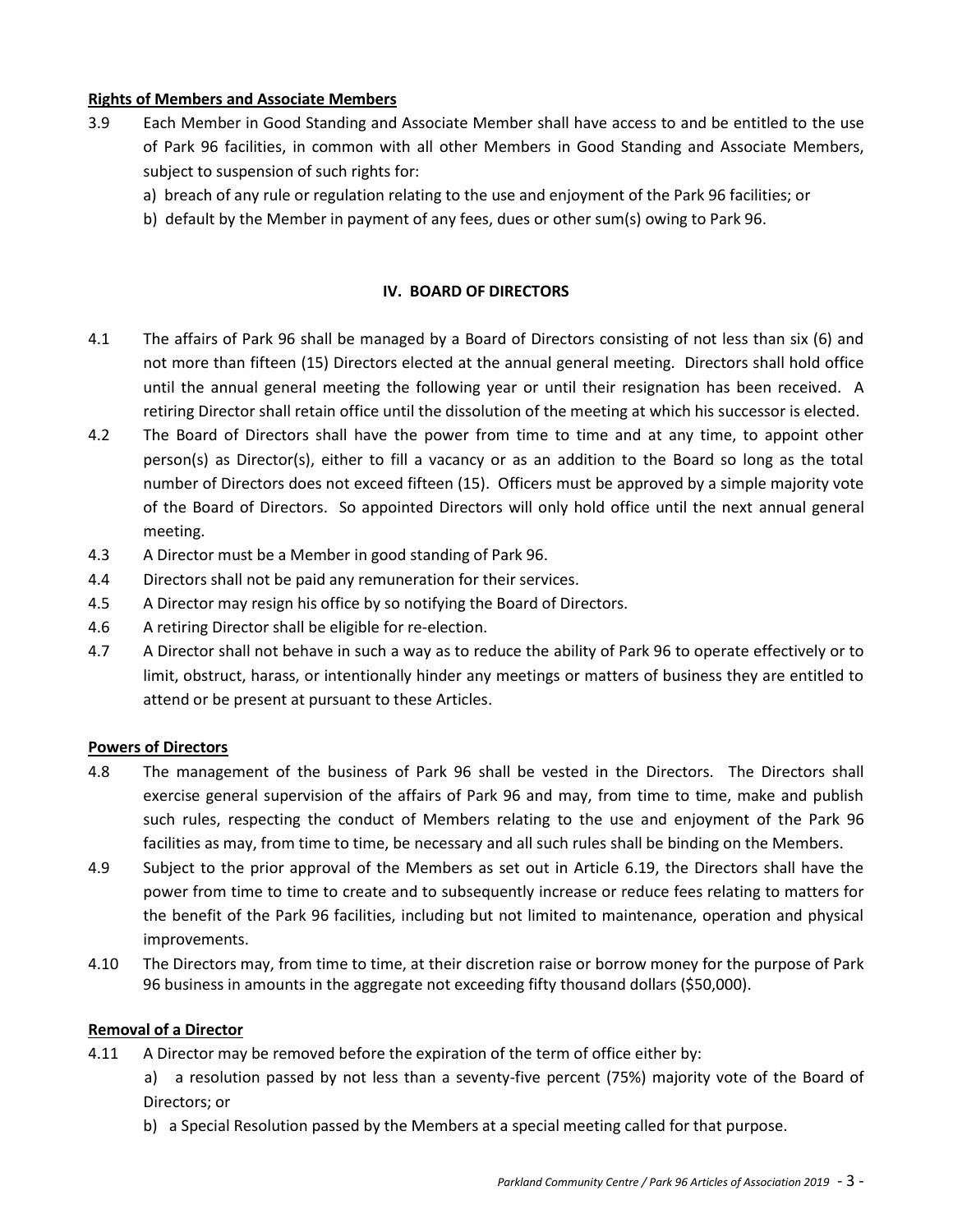#### **Rights of Members and Associate Members**

- 3.9 Each Member in Good Standing and Associate Member shall have access to and be entitled to the use of Park 96 facilities, in common with all other Members in Good Standing and Associate Members, subject to suspension of such rights for:
	- a) breach of any rule or regulation relating to the use and enjoyment of the Park 96 facilities; or
	- b) default by the Member in payment of any fees, dues or other sum(s) owing to Park 96.

#### **IV. BOARD OF DIRECTORS**

- 4.1 The affairs of Park 96 shall be managed by a Board of Directors consisting of not less than six (6) and not more than fifteen (15) Directors elected at the annual general meeting. Directors shall hold office until the annual general meeting the following year or until their resignation has been received. A retiring Director shall retain office until the dissolution of the meeting at which his successor is elected.
- 4.2 The Board of Directors shall have the power from time to time and at any time, to appoint other person(s) as Director(s), either to fill a vacancy or as an addition to the Board so long as the total number of Directors does not exceed fifteen (15). Officers must be approved by a simple majority vote of the Board of Directors. So appointed Directors will only hold office until the next annual general meeting.
- 4.3 A Director must be a Member in good standing of Park 96.
- 4.4 Directors shall not be paid any remuneration for their services.
- 4.5 A Director may resign his office by so notifying the Board of Directors.
- 4.6 A retiring Director shall be eligible for re-election.
- 4.7 A Director shall not behave in such a way as to reduce the ability of Park 96 to operate effectively or to limit, obstruct, harass, or intentionally hinder any meetings or matters of business they are entitled to attend or be present at pursuant to these Articles.

#### **Powers of Directors**

- 4.8 The management of the business of Park 96 shall be vested in the Directors. The Directors shall exercise general supervision of the affairs of Park 96 and may, from time to time, make and publish such rules, respecting the conduct of Members relating to the use and enjoyment of the Park 96 facilities as may, from time to time, be necessary and all such rules shall be binding on the Members.
- 4.9 Subject to the prior approval of the Members as set out in Article 6.19, the Directors shall have the power from time to time to create and to subsequently increase or reduce fees relating to matters for the benefit of the Park 96 facilities, including but not limited to maintenance, operation and physical improvements.
- 4.10 The Directors may, from time to time, at their discretion raise or borrow money for the purpose of Park 96 business in amounts in the aggregate not exceeding fifty thousand dollars (\$50,000).

#### **Removal of a Director**

- 4.11 A Director may be removed before the expiration of the term of office either by:
	- a) a resolution passed by not less than a seventy-five percent (75%) majority vote of the Board of Directors; or
	- b) a Special Resolution passed by the Members at a special meeting called for that purpose.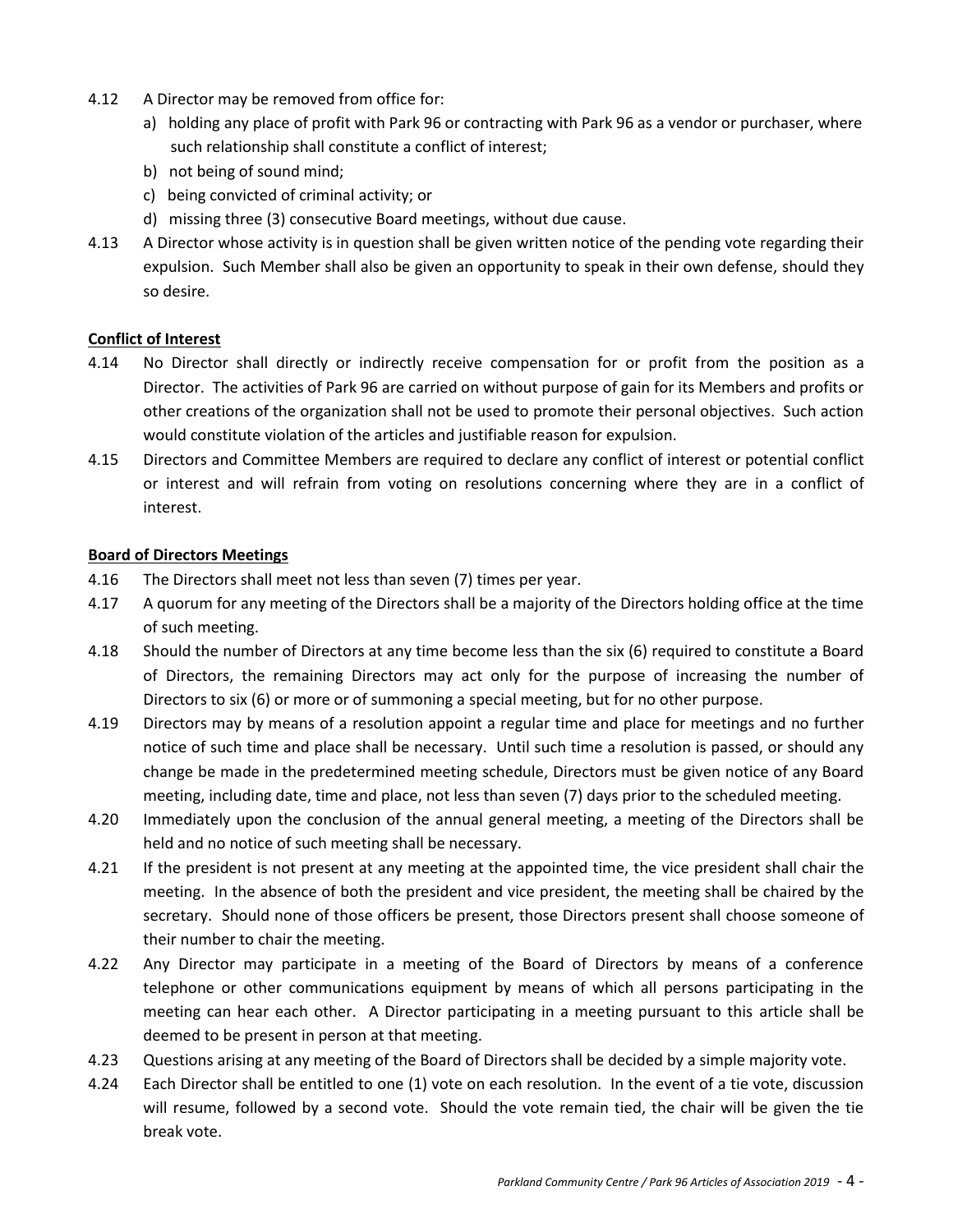- 4.12 A Director may be removed from office for:
	- a) holding any place of profit with Park 96 or contracting with Park 96 as a vendor or purchaser, where such relationship shall constitute a conflict of interest;
	- b) not being of sound mind;
	- c) being convicted of criminal activity; or
	- d) missing three (3) consecutive Board meetings, without due cause.
- 4.13 A Director whose activity is in question shall be given written notice of the pending vote regarding their expulsion. Such Member shall also be given an opportunity to speak in their own defense, should they so desire.

#### **Conflict of Interest**

- 4.14 No Director shall directly or indirectly receive compensation for or profit from the position as a Director. The activities of Park 96 are carried on without purpose of gain for its Members and profits or other creations of the organization shall not be used to promote their personal objectives. Such action would constitute violation of the articles and justifiable reason for expulsion.
- 4.15 Directors and Committee Members are required to declare any conflict of interest or potential conflict or interest and will refrain from voting on resolutions concerning where they are in a conflict of interest.

#### **Board of Directors Meetings**

- 4.16 The Directors shall meet not less than seven (7) times per year.
- 4.17 A quorum for any meeting of the Directors shall be a majority of the Directors holding office at the time of such meeting.
- 4.18 Should the number of Directors at any time become less than the six (6) required to constitute a Board of Directors, the remaining Directors may act only for the purpose of increasing the number of Directors to six (6) or more or of summoning a special meeting, but for no other purpose.
- 4.19 Directors may by means of a resolution appoint a regular time and place for meetings and no further notice of such time and place shall be necessary. Until such time a resolution is passed, or should any change be made in the predetermined meeting schedule, Directors must be given notice of any Board meeting, including date, time and place, not less than seven (7) days prior to the scheduled meeting.
- 4.20 Immediately upon the conclusion of the annual general meeting, a meeting of the Directors shall be held and no notice of such meeting shall be necessary.
- 4.21 If the president is not present at any meeting at the appointed time, the vice president shall chair the meeting. In the absence of both the president and vice president, the meeting shall be chaired by the secretary. Should none of those officers be present, those Directors present shall choose someone of their number to chair the meeting.
- 4.22 Any Director may participate in a meeting of the Board of Directors by means of a conference telephone or other communications equipment by means of which all persons participating in the meeting can hear each other. A Director participating in a meeting pursuant to this article shall be deemed to be present in person at that meeting.
- 4.23 Questions arising at any meeting of the Board of Directors shall be decided by a simple majority vote.
- 4.24 Each Director shall be entitled to one (1) vote on each resolution. In the event of a tie vote, discussion will resume, followed by a second vote. Should the vote remain tied, the chair will be given the tie break vote.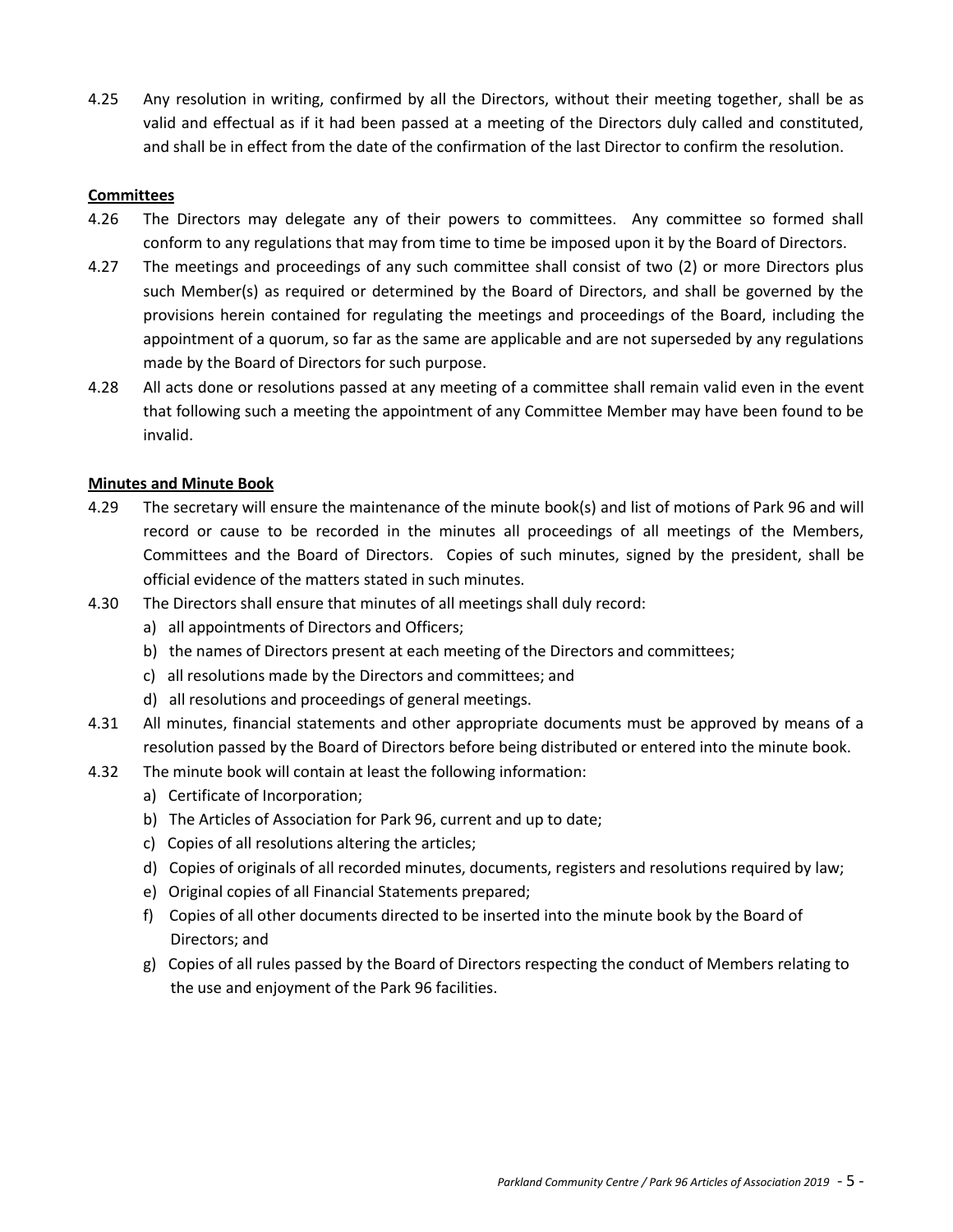4.25 Any resolution in writing, confirmed by all the Directors, without their meeting together, shall be as valid and effectual as if it had been passed at a meeting of the Directors duly called and constituted, and shall be in effect from the date of the confirmation of the last Director to confirm the resolution.

#### **Committees**

- 4.26 The Directors may delegate any of their powers to committees. Any committee so formed shall conform to any regulations that may from time to time be imposed upon it by the Board of Directors.
- 4.27 The meetings and proceedings of any such committee shall consist of two (2) or more Directors plus such Member(s) as required or determined by the Board of Directors, and shall be governed by the provisions herein contained for regulating the meetings and proceedings of the Board, including the appointment of a quorum, so far as the same are applicable and are not superseded by any regulations made by the Board of Directors for such purpose.
- 4.28 All acts done or resolutions passed at any meeting of a committee shall remain valid even in the event that following such a meeting the appointment of any Committee Member may have been found to be invalid.

#### **Minutes and Minute Book**

- 4.29 The secretary will ensure the maintenance of the minute book(s) and list of motions of Park 96 and will record or cause to be recorded in the minutes all proceedings of all meetings of the Members, Committees and the Board of Directors. Copies of such minutes, signed by the president, shall be official evidence of the matters stated in such minutes.
- 4.30 The Directors shall ensure that minutes of all meetings shall duly record:
	- a) all appointments of Directors and Officers;
	- b) the names of Directors present at each meeting of the Directors and committees;
	- c) all resolutions made by the Directors and committees; and
	- d) all resolutions and proceedings of general meetings.
- 4.31 All minutes, financial statements and other appropriate documents must be approved by means of a resolution passed by the Board of Directors before being distributed or entered into the minute book.
- 4.32 The minute book will contain at least the following information:
	- a) Certificate of Incorporation;
	- b) The Articles of Association for Park 96, current and up to date;
	- c) Copies of all resolutions altering the articles;
	- d) Copies of originals of all recorded minutes, documents, registers and resolutions required by law;
	- e) Original copies of all Financial Statements prepared;
	- f) Copies of all other documents directed to be inserted into the minute book by the Board of Directors; and
	- g) Copies of all rules passed by the Board of Directors respecting the conduct of Members relating to the use and enjoyment of the Park 96 facilities.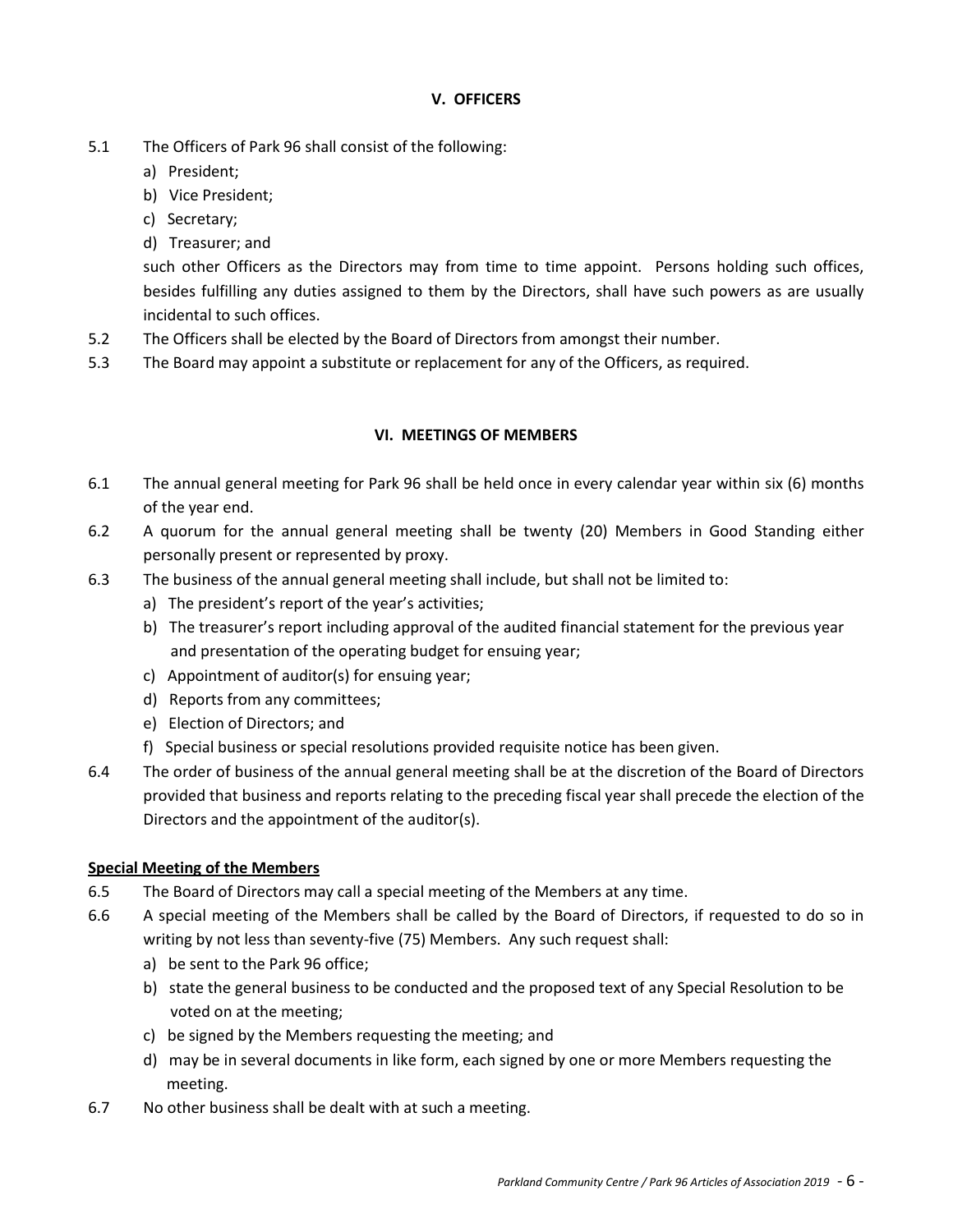#### **V. OFFICERS**

- 5.1 The Officers of Park 96 shall consist of the following:
	- a) President;
	- b) Vice President;
	- c) Secretary;
	- d) Treasurer; and

such other Officers as the Directors may from time to time appoint. Persons holding such offices, besides fulfilling any duties assigned to them by the Directors, shall have such powers as are usually incidental to such offices.

- 5.2 The Officers shall be elected by the Board of Directors from amongst their number.
- 5.3 The Board may appoint a substitute or replacement for any of the Officers, as required.

#### **VI. MEETINGS OF MEMBERS**

- 6.1 The annual general meeting for Park 96 shall be held once in every calendar year within six (6) months of the year end.
- 6.2 A quorum for the annual general meeting shall be twenty (20) Members in Good Standing either personally present or represented by proxy.
- 6.3 The business of the annual general meeting shall include, but shall not be limited to:
	- a) The president's report of the year's activities;
	- b) The treasurer's report including approval of the audited financial statement for the previous year and presentation of the operating budget for ensuing year;
	- c) Appointment of auditor(s) for ensuing year;
	- d) Reports from any committees;
	- e) Election of Directors; and
	- f) Special business or special resolutions provided requisite notice has been given.
- 6.4 The order of business of the annual general meeting shall be at the discretion of the Board of Directors provided that business and reports relating to the preceding fiscal year shall precede the election of the Directors and the appointment of the auditor(s).

#### **Special Meeting of the Members**

- 6.5 The Board of Directors may call a special meeting of the Members at any time.
- 6.6 A special meeting of the Members shall be called by the Board of Directors, if requested to do so in writing by not less than seventy-five (75) Members. Any such request shall:
	- a) be sent to the Park 96 office;
	- b) state the general business to be conducted and the proposed text of any Special Resolution to be voted on at the meeting;
	- c) be signed by the Members requesting the meeting; and
	- d) may be in several documents in like form, each signed by one or more Members requesting the meeting.
- 6.7 No other business shall be dealt with at such a meeting.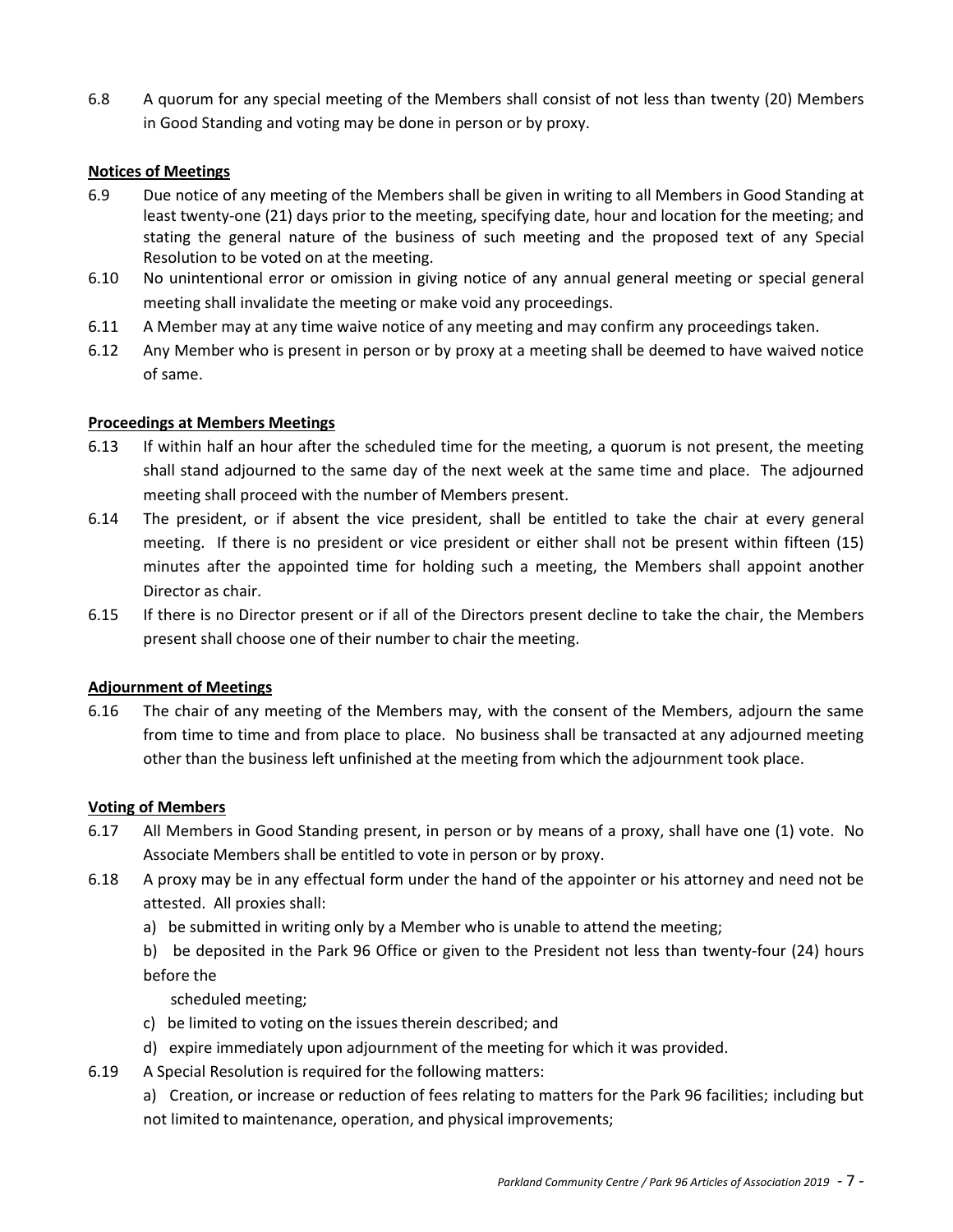6.8 A quorum for any special meeting of the Members shall consist of not less than twenty (20) Members in Good Standing and voting may be done in person or by proxy.

#### **Notices of Meetings**

- 6.9 Due notice of any meeting of the Members shall be given in writing to all Members in Good Standing at least twenty-one (21) days prior to the meeting, specifying date, hour and location for the meeting; and stating the general nature of the business of such meeting and the proposed text of any Special Resolution to be voted on at the meeting.
- 6.10 No unintentional error or omission in giving notice of any annual general meeting or special general meeting shall invalidate the meeting or make void any proceedings.
- 6.11 A Member may at any time waive notice of any meeting and may confirm any proceedings taken.
- 6.12 Any Member who is present in person or by proxy at a meeting shall be deemed to have waived notice of same.

#### **Proceedings at Members Meetings**

- 6.13 If within half an hour after the scheduled time for the meeting, a quorum is not present, the meeting shall stand adjourned to the same day of the next week at the same time and place. The adjourned meeting shall proceed with the number of Members present.
- 6.14 The president, or if absent the vice president, shall be entitled to take the chair at every general meeting. If there is no president or vice president or either shall not be present within fifteen (15) minutes after the appointed time for holding such a meeting, the Members shall appoint another Director as chair.
- 6.15 If there is no Director present or if all of the Directors present decline to take the chair, the Members present shall choose one of their number to chair the meeting.

#### **Adjournment of Meetings**

6.16 The chair of any meeting of the Members may, with the consent of the Members, adjourn the same from time to time and from place to place. No business shall be transacted at any adjourned meeting other than the business left unfinished at the meeting from which the adjournment took place.

#### **Voting of Members**

- 6.17 All Members in Good Standing present, in person or by means of a proxy, shall have one (1) vote. No Associate Members shall be entitled to vote in person or by proxy.
- 6.18 A proxy may be in any effectual form under the hand of the appointer or his attorney and need not be attested. All proxies shall:
	- a) be submitted in writing only by a Member who is unable to attend the meeting;
	- b) be deposited in the Park 96 Office or given to the President not less than twenty-four (24) hours before the
		- scheduled meeting;
	- c) be limited to voting on the issues therein described; and
	- d) expire immediately upon adjournment of the meeting for which it was provided.
- 6.19 A Special Resolution is required for the following matters:
	- a) Creation, or increase or reduction of fees relating to matters for the Park 96 facilities; including but not limited to maintenance, operation, and physical improvements;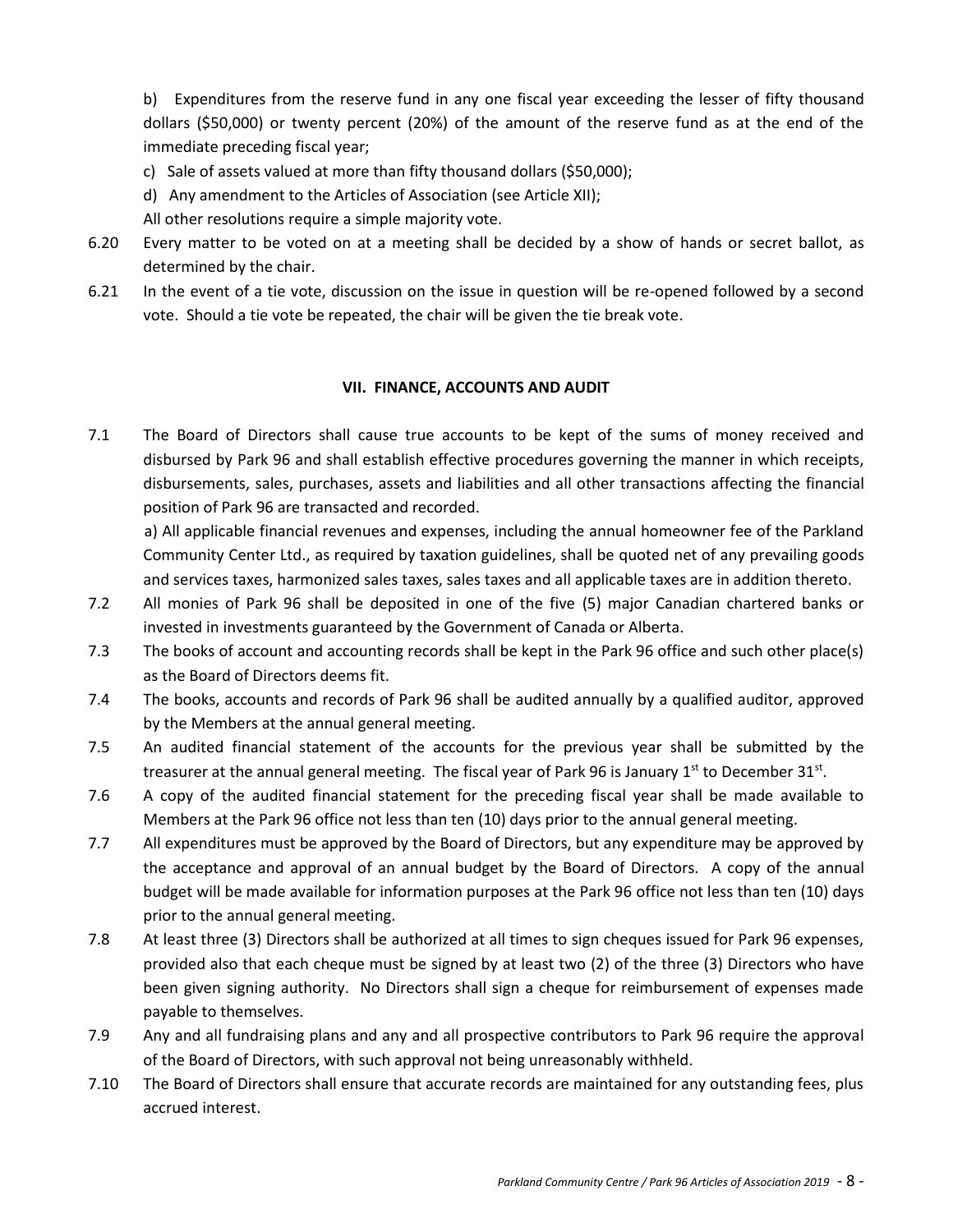b) Expenditures from the reserve fund in any one fiscal year exceeding the lesser of fifty thousand dollars (\$50,000) or twenty percent (20%) of the amount of the reserve fund as at the end of the immediate preceding fiscal year;

- c) Sale of assets valued at more than fifty thousand dollars (\$50,000);
- d) Any amendment to the Articles of Association (see Article XII);

All other resolutions require a simple majority vote.

- 6.20 Every matter to be voted on at a meeting shall be decided by a show of hands or secret ballot, as determined by the chair.
- 6.21 In the event of a tie vote, discussion on the issue in question will be re-opened followed by a second vote. Should a tie vote be repeated, the chair will be given the tie break vote.

#### **VII. FINANCE, ACCOUNTS AND AUDIT**

7.1 The Board of Directors shall cause true accounts to be kept of the sums of money received and disbursed by Park 96 and shall establish effective procedures governing the manner in which receipts, disbursements, sales, purchases, assets and liabilities and all other transactions affecting the financial position of Park 96 are transacted and recorded.

a) All applicable financial revenues and expenses, including the annual homeowner fee of the Parkland Community Center Ltd., as required by taxation guidelines, shall be quoted net of any prevailing goods and services taxes, harmonized sales taxes, sales taxes and all applicable taxes are in addition thereto.

- 7.2 All monies of Park 96 shall be deposited in one of the five (5) major Canadian chartered banks or invested in investments guaranteed by the Government of Canada or Alberta.
- 7.3 The books of account and accounting records shall be kept in the Park 96 office and such other place(s) as the Board of Directors deems fit.
- 7.4 The books, accounts and records of Park 96 shall be audited annually by a qualified auditor, approved by the Members at the annual general meeting.
- 7.5 An audited financial statement of the accounts for the previous year shall be submitted by the treasurer at the annual general meeting. The fiscal year of Park 96 is January 1<sup>st</sup> to December 31<sup>st</sup>.
- 7.6 A copy of the audited financial statement for the preceding fiscal year shall be made available to Members at the Park 96 office not less than ten (10) days prior to the annual general meeting.
- 7.7 All expenditures must be approved by the Board of Directors, but any expenditure may be approved by the acceptance and approval of an annual budget by the Board of Directors. A copy of the annual budget will be made available for information purposes at the Park 96 office not less than ten (10) days prior to the annual general meeting.
- 7.8 At least three (3) Directors shall be authorized at all times to sign cheques issued for Park 96 expenses, provided also that each cheque must be signed by at least two (2) of the three (3) Directors who have been given signing authority. No Directors shall sign a cheque for reimbursement of expenses made payable to themselves.
- 7.9 Any and all fundraising plans and any and all prospective contributors to Park 96 require the approval of the Board of Directors, with such approval not being unreasonably withheld.
- 7.10 The Board of Directors shall ensure that accurate records are maintained for any outstanding fees, plus accrued interest.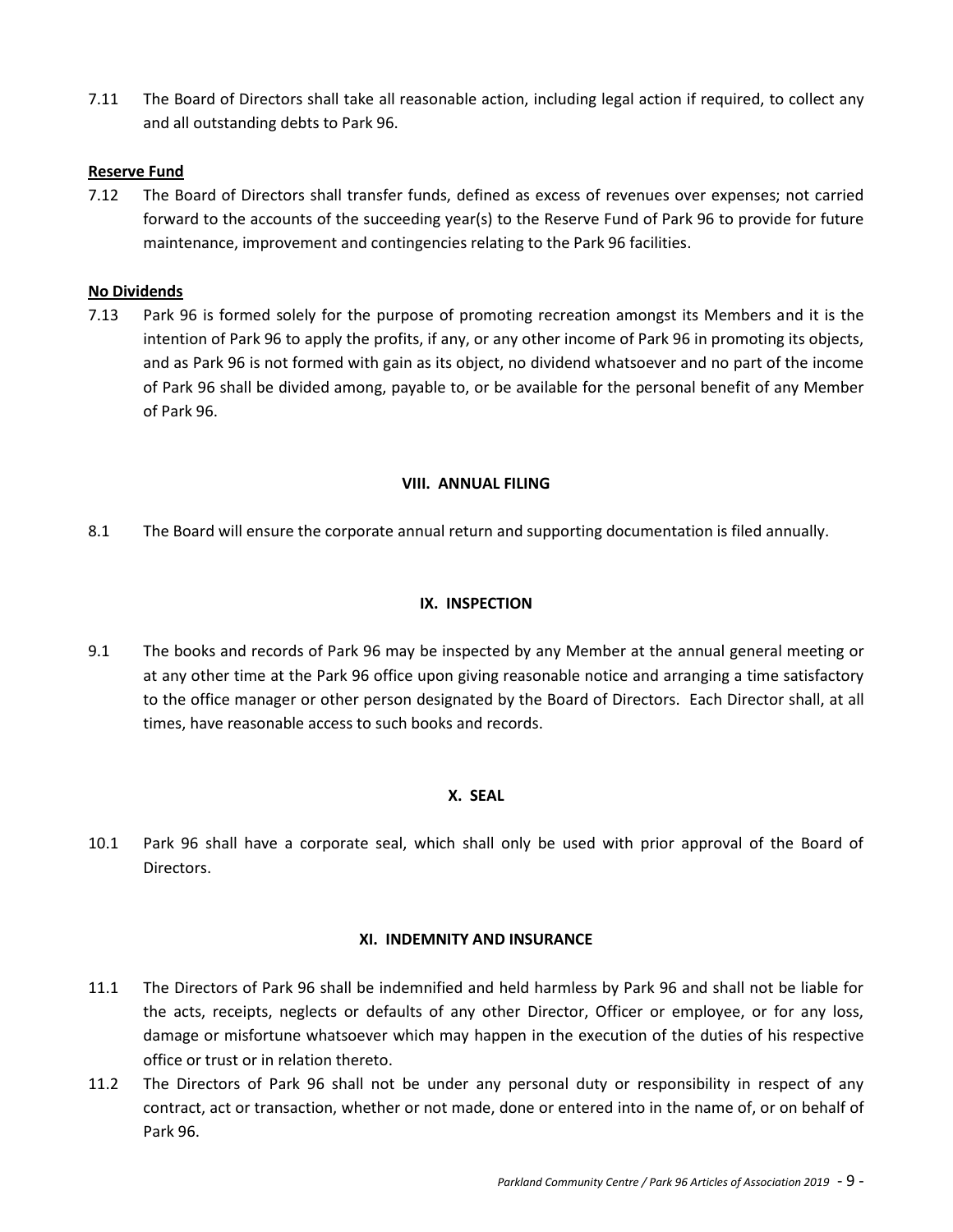7.11 The Board of Directors shall take all reasonable action, including legal action if required, to collect any and all outstanding debts to Park 96.

#### **Reserve Fund**

7.12 The Board of Directors shall transfer funds, defined as excess of revenues over expenses; not carried forward to the accounts of the succeeding year(s) to the Reserve Fund of Park 96 to provide for future maintenance, improvement and contingencies relating to the Park 96 facilities.

#### **No Dividends**

7.13 Park 96 is formed solely for the purpose of promoting recreation amongst its Members and it is the intention of Park 96 to apply the profits, if any, or any other income of Park 96 in promoting its objects, and as Park 96 is not formed with gain as its object, no dividend whatsoever and no part of the income of Park 96 shall be divided among, payable to, or be available for the personal benefit of any Member of Park 96.

#### **VIII. ANNUAL FILING**

8.1 The Board will ensure the corporate annual return and supporting documentation is filed annually.

#### **IX. INSPECTION**

9.1 The books and records of Park 96 may be inspected by any Member at the annual general meeting or at any other time at the Park 96 office upon giving reasonable notice and arranging a time satisfactory to the office manager or other person designated by the Board of Directors. Each Director shall, at all times, have reasonable access to such books and records.

#### **X. SEAL**

10.1 Park 96 shall have a corporate seal, which shall only be used with prior approval of the Board of Directors.

#### **XI. INDEMNITY AND INSURANCE**

- 11.1 The Directors of Park 96 shall be indemnified and held harmless by Park 96 and shall not be liable for the acts, receipts, neglects or defaults of any other Director, Officer or employee, or for any loss, damage or misfortune whatsoever which may happen in the execution of the duties of his respective office or trust or in relation thereto.
- 11.2 The Directors of Park 96 shall not be under any personal duty or responsibility in respect of any contract, act or transaction, whether or not made, done or entered into in the name of, or on behalf of Park 96.